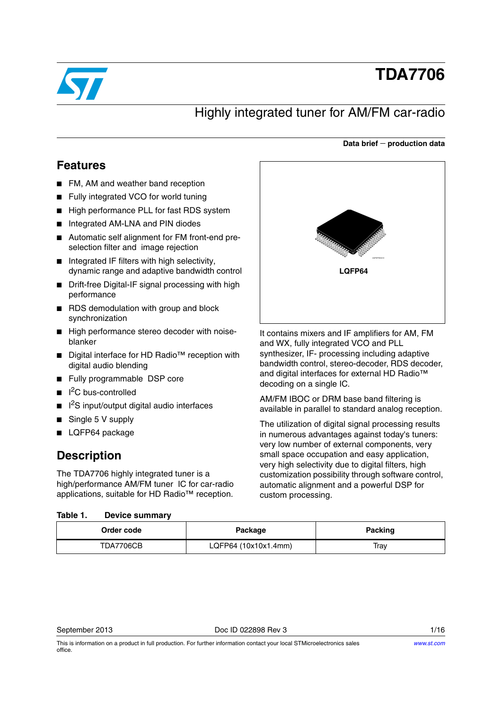

# **TDA7706**

# Highly integrated tuner for AM/FM car-radio

#### **Data brief production data**

### **Features**

- FM, AM and weather band reception
- Fully integrated VCO for world tuning
- High performance PLL for fast RDS system
- Integrated AM-LNA and PIN diodes
- Automatic self alignment for FM front-end preselection filter and image rejection
- Integrated IF filters with high selectivity, dynamic range and adaptive bandwidth control
- Drift-free Digital-IF signal processing with high performance
- RDS demodulation with group and block synchronization
- High performance stereo decoder with noiseblanker
- Digital interface for HD Radio<sup>™</sup> reception with digital audio blending
- Fully programmable DSP core
- I<sup>2</sup>C bus-controlled
- I<sup>2</sup>S input/output digital audio interfaces
- Single 5 V supply
- LQFP64 package

## **Description**

The TDA7706 highly integrated tuner is a high/performance AM/FM tuner IC for car-radio applications, suitable for HD Radio™ reception.

#### <span id="page-0-0"></span>Table 1. **Device summary**

|  |        | GAPGP500313 |  |  |
|--|--------|-------------|--|--|
|  | LQFP64 |             |  |  |
|  |        |             |  |  |
|  |        |             |  |  |
|  |        |             |  |  |
|  |        |             |  |  |

It contains mixers and IF amplifiers for AM, FM and WX, fully integrated VCO and PLL synthesizer, IF- processing including adaptive bandwidth control, stereo-decoder, RDS decoder, and digital interfaces for external HD Radio™ decoding on a single IC.

AM/FM IBOC or DRM base band filtering is available in parallel to standard analog reception.

The utilization of digital signal processing results in numerous advantages against today's tuners: very low number of external components, very small space occupation and easy application, very high selectivity due to digital filters, high customization possibility through software control, automatic alignment and a powerful DSP for custom processing.

| Order code | Package              | Packing |
|------------|----------------------|---------|
| TDA7706CB  | LQFP64 (10x10x1.4mm) | Tray    |

This is information on a product in full production. For further information contact your local STMicroelectronics sales office.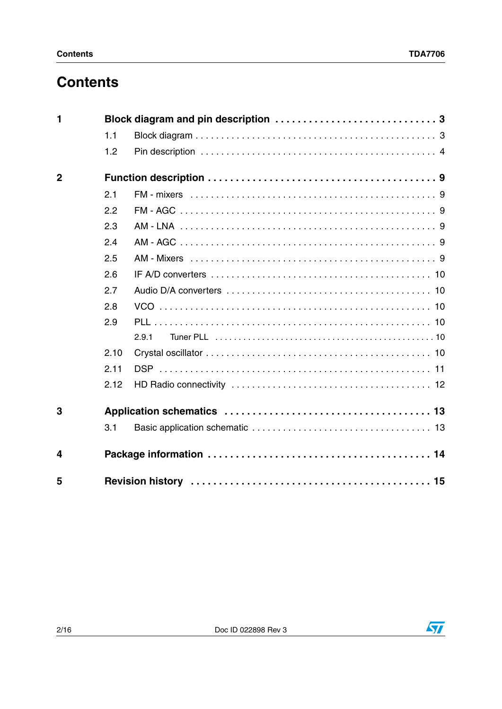# **Contents**

| 1              |      |       |  |  |  |  |  |  |  |
|----------------|------|-------|--|--|--|--|--|--|--|
|                | 1.1  |       |  |  |  |  |  |  |  |
|                | 1.2  |       |  |  |  |  |  |  |  |
| $\overline{2}$ |      |       |  |  |  |  |  |  |  |
|                | 2.1  |       |  |  |  |  |  |  |  |
|                | 2.2  |       |  |  |  |  |  |  |  |
|                | 2.3  |       |  |  |  |  |  |  |  |
|                | 2.4  |       |  |  |  |  |  |  |  |
|                | 2.5  |       |  |  |  |  |  |  |  |
|                | 2.6  |       |  |  |  |  |  |  |  |
|                | 2.7  |       |  |  |  |  |  |  |  |
|                | 2.8  |       |  |  |  |  |  |  |  |
|                | 2.9  |       |  |  |  |  |  |  |  |
|                |      | 2.9.1 |  |  |  |  |  |  |  |
|                | 2.10 |       |  |  |  |  |  |  |  |
|                | 2.11 |       |  |  |  |  |  |  |  |
|                | 2.12 |       |  |  |  |  |  |  |  |
| 3              |      |       |  |  |  |  |  |  |  |
|                | 3.1  |       |  |  |  |  |  |  |  |
| 4              |      |       |  |  |  |  |  |  |  |
| 5              |      |       |  |  |  |  |  |  |  |

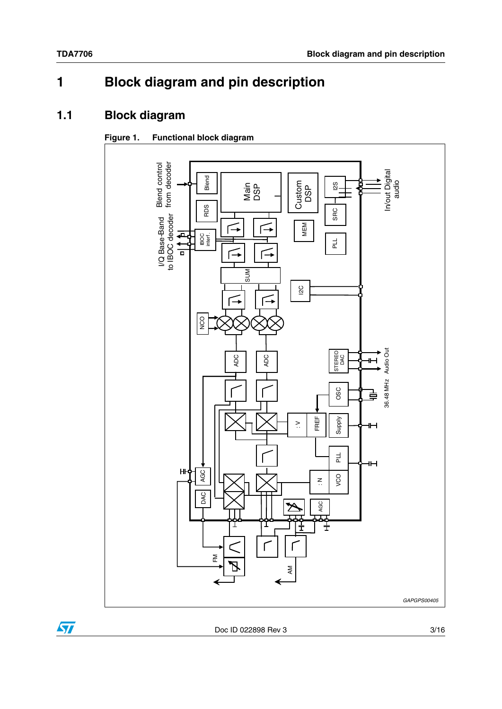#### <span id="page-2-0"></span>**Block diagram and pin description**  $\blacksquare$

#### <span id="page-2-1"></span>**Block diagram**  $1.1$

#### Figure 1. **Functional block diagram**



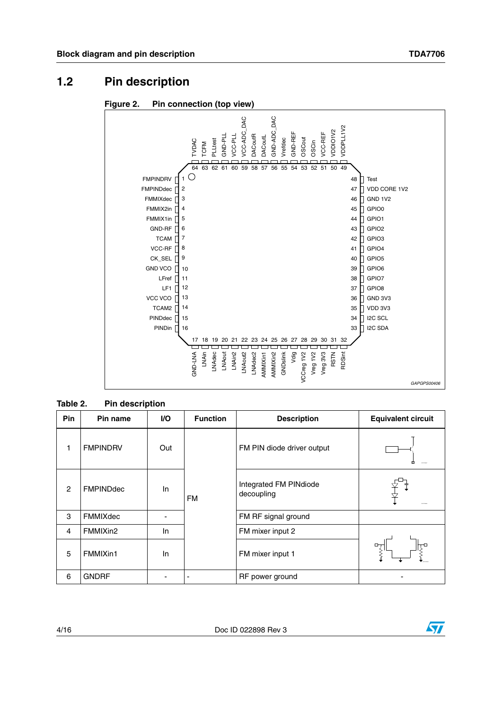#### <span id="page-3-0"></span>**Pin description**  $1.2$





#### Table 2. **Pin description**

| Pin            | Pin name         | VO. | <b>Function</b> | <b>Description</b>                   | <b>Equivalent circuit</b> |
|----------------|------------------|-----|-----------------|--------------------------------------|---------------------------|
| 1              | <b>FMPINDRV</b>  | Out |                 | FM PIN diode driver output           | 囟                         |
| $\overline{2}$ | <b>FMPINDdec</b> | In  | FM              | Integrated FM PINdiode<br>decoupling |                           |
| 3              | FMMIXdec         |     |                 | FM RF signal ground                  |                           |
| 4              | FMMIXin2         | In. |                 | FM mixer input 2                     |                           |
| 5              | FMMIXin1         | In  |                 | FM mixer input 1                     |                           |
| 6              | <b>GNDRF</b>     |     |                 | RF power ground                      |                           |

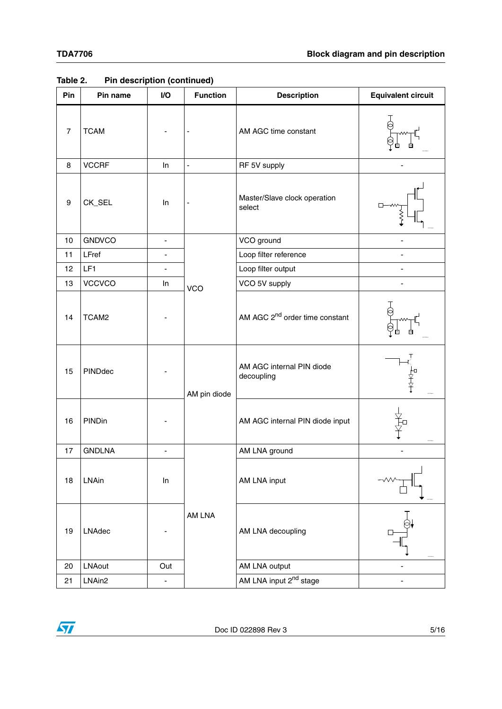| Pin              | Pin name      | I/O                      | <b>Function</b> | <b>Description</b>                         | <b>Equivalent circuit</b>                 |
|------------------|---------------|--------------------------|-----------------|--------------------------------------------|-------------------------------------------|
| $\overline{7}$   | <b>TCAM</b>   |                          |                 | AM AGC time constant                       |                                           |
| 8                | <b>VCCRF</b>  | ln                       | $\blacksquare$  | RF 5V supply                               |                                           |
| $\boldsymbol{9}$ | CK_SEL        | In                       |                 | Master/Slave clock operation<br>select     |                                           |
| 10               | <b>GNDVCO</b> | $\overline{\phantom{a}}$ |                 | VCO ground                                 |                                           |
| 11               | LFref         | $\overline{\phantom{a}}$ |                 | Loop filter reference                      |                                           |
| 12               | LF1           | $\overline{\phantom{0}}$ |                 | Loop filter output                         |                                           |
| 13               | <b>VCCVCO</b> | In                       | <b>VCO</b>      | VCO 5V supply                              |                                           |
| 14               | TCAM2         |                          |                 | AM AGC 2 <sup>nd</sup> order time constant |                                           |
| 15               | PINDdec       |                          | AM pin diode    | AM AGC internal PIN diode<br>decoupling    | $\overleftarrow{\mathrm{f}}^{\mathrm{n}}$ |
| 16               | PINDin        |                          |                 | AM AGC internal PIN diode input            | ¥<br>¥                                    |
| 17               | <b>GNDLNA</b> | $\blacksquare$           |                 | AM LNA ground                              |                                           |
| 18               | LNAin         | ln                       |                 | AM LNA input                               |                                           |
| 19               | LNAdec        |                          | AM LNA          | AM LNA decoupling                          |                                           |
| 20               | <b>LNAout</b> | Out                      |                 | AM LNA output                              |                                           |
| 21               | LNAin2        | $\overline{\phantom{0}}$ |                 | AM LNA input 2 <sup>nd</sup> stage         |                                           |

**Table 2. Pin description (continued)**

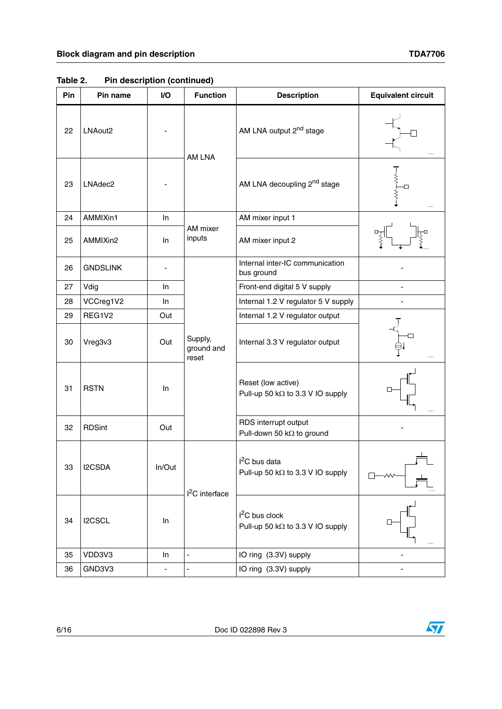| Pin | Pin name            | I/O                          | <b>Function</b>                | <b>Description</b>                                          | <b>Equivalent circuit</b> |
|-----|---------------------|------------------------------|--------------------------------|-------------------------------------------------------------|---------------------------|
| 22  | LNAout <sub>2</sub> |                              | AM LNA                         | AM LNA output 2 <sup>nd</sup> stage                         |                           |
| 23  | LNAdec2             |                              |                                | AM LNA decoupling 2 <sup>nd</sup> stage                     | ≹<br>$\searrow$           |
| 24  | AMMIXin1            | $\ln$                        |                                | AM mixer input 1                                            |                           |
| 25  | AMMIXin2            | In.                          | AM mixer<br>inputs             | AM mixer input 2                                            |                           |
| 26  | <b>GNDSLINK</b>     |                              |                                | Internal inter-IC communication<br>bus ground               |                           |
| 27  | Vdig                | In.                          |                                | Front-end digital 5 V supply                                |                           |
| 28  | VCCreg1V2           | In.                          |                                | Internal 1.2 V regulator 5 V supply                         |                           |
| 29  | REG1V2              | Out                          |                                | Internal 1.2 V regulator output                             |                           |
| 30  | Vreg3v3             | Out                          | Supply,<br>ground and<br>reset | Internal 3.3 V regulator output                             |                           |
| 31  | <b>RSTN</b>         | ln.                          |                                | Reset (low active)<br>Pull-up 50 kΩ to 3.3 V IO supply      |                           |
| 32  | <b>RDSint</b>       | Out                          |                                | RDS interrupt output<br>Pull-down 50 kΩ to ground           |                           |
| 33  | I2CSDA              | In/Out                       | $I2C$ interface                | $I2C$ bus data<br>Pull-up 50 kΩ to 3.3 V IO supply          |                           |
| 34  | I2CSCL              | In                           |                                | $I2C$ bus clock<br>Pull-up 50 k $\Omega$ to 3.3 V IO supply |                           |
| 35  | VDD3V3              | In                           | $\blacksquare$                 | IO ring (3.3V) supply                                       |                           |
| 36  | GND3V3              | $\qquad \qquad \blacksquare$ | $\blacksquare$                 | IO ring (3.3V) supply                                       |                           |

**Table 2. Pin description (continued)**



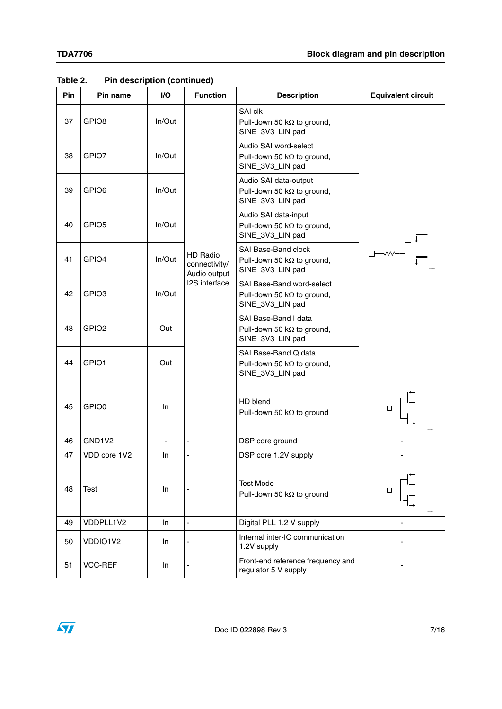| Pin | Pin name          | I/O            | <b>Function</b>                                  | <b>Description</b>                                                                  | <b>Equivalent circuit</b> |
|-----|-------------------|----------------|--------------------------------------------------|-------------------------------------------------------------------------------------|---------------------------|
| 37  | GPIO <sub>8</sub> | In/Out         |                                                  | SAI clk<br>Pull-down 50 k $\Omega$ to ground,<br>SINE_3V3_LIN pad                   |                           |
| 38  | GPIO7             | In/Out         |                                                  | Audio SAI word-select<br>Pull-down 50 k $\Omega$ to ground,<br>SINE_3V3_LIN pad     |                           |
| 39  | GPIO <sub>6</sub> | In/Out         |                                                  | Audio SAI data-output<br>Pull-down 50 k $\Omega$ to ground,<br>SINE_3V3_LIN pad     |                           |
| 40  | GPIO <sub>5</sub> | $In/O$ ut      |                                                  | Audio SAI data-input<br>Pull-down 50 k $\Omega$ to ground,<br>SINE_3V3_LIN pad      |                           |
| 41  | GPIO4             | In/Out         | <b>HD Radio</b><br>connectivity/<br>Audio output | SAI Base-Band clock<br>Pull-down 50 k $\Omega$ to ground,<br>SINE_3V3_LIN pad       |                           |
| 42  | GPIO <sub>3</sub> | In/Out         | I2S interface                                    | SAI Base-Band word-select<br>Pull-down 50 k $\Omega$ to ground,<br>SINE_3V3_LIN pad |                           |
| 43  | GPIO <sub>2</sub> | Out            |                                                  | SAI Base-Band I data<br>Pull-down 50 k $\Omega$ to ground,<br>SINE_3V3_LIN pad      |                           |
| 44  | GPIO1             | Out            |                                                  | SAI Base-Band Q data<br>Pull-down 50 k $\Omega$ to ground,<br>SINE_3V3_LIN pad      |                           |
| 45  | GPIO0             | In.            |                                                  | HD blend<br>Pull-down 50 kΩ to ground                                               |                           |
| 46  | GND1V2            | $\blacksquare$ | L,                                               | DSP core ground                                                                     |                           |
| 47  | VDD core 1V2      | In.            | ÷,                                               | DSP core 1.2V supply                                                                |                           |
| 48  | <b>Test</b>       | In             |                                                  | <b>Test Mode</b><br>Pull-down 50 kΩ to ground                                       |                           |
| 49  | VDDPLL1V2         | In             | L,                                               | Digital PLL 1.2 V supply                                                            |                           |
| 50  | VDDIO1V2          | In             |                                                  | Internal inter-IC communication<br>1.2V supply                                      |                           |
| 51  | VCC-REF           | In             |                                                  | Front-end reference frequency and<br>regulator 5 V supply                           |                           |

**Table 2. Pin description (continued)**

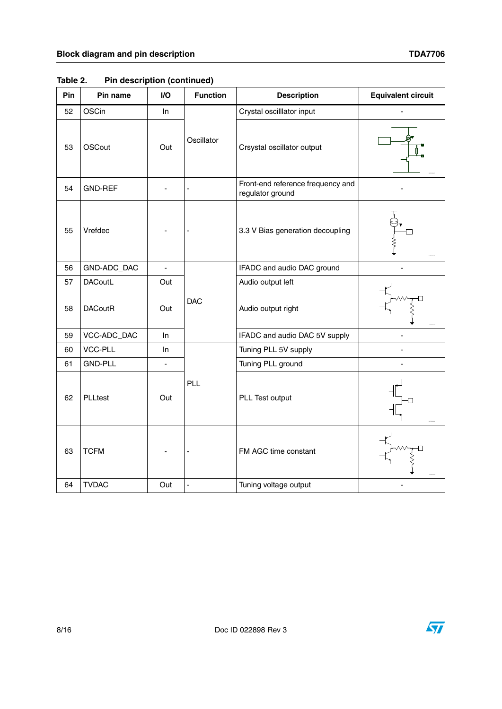| Pin | Pin name       | I/O            | <b>Function</b> | <b>Description</b>                                    | <b>Equivalent circuit</b> |
|-----|----------------|----------------|-----------------|-------------------------------------------------------|---------------------------|
| 52  | <b>OSCin</b>   | In.            |                 | Crystal oscilllator input                             |                           |
| 53  | <b>OSCout</b>  | Out            | Oscillator      | Crsystal oscillator output                            |                           |
| 54  | <b>GND-REF</b> |                | ٠               | Front-end reference frequency and<br>regulator ground |                           |
| 55  | Vrefdec        |                |                 | 3.3 V Bias generation decoupling                      |                           |
| 56  | GND-ADC_DAC    | ÷,             |                 | IFADC and audio DAC ground                            |                           |
| 57  | <b>DACoutL</b> | Out            |                 | Audio output left                                     |                           |
| 58  | <b>DACoutR</b> | Out            | <b>DAC</b>      | Audio output right                                    |                           |
| 59  | VCC-ADC_DAC    | In             |                 | IFADC and audio DAC 5V supply                         |                           |
| 60  | <b>VCC-PLL</b> | In.            |                 | Tuning PLL 5V supply                                  |                           |
| 61  | <b>GND-PLL</b> | $\blacksquare$ |                 | Tuning PLL ground                                     |                           |
| 62  | PLLtest        | Out            | PLL             | PLL Test output                                       |                           |
| 63  | <b>TCFM</b>    |                |                 | FM AGC time constant                                  |                           |
| 64  | <b>TVDAC</b>   | Out            | $\blacksquare$  | Tuning voltage output                                 |                           |

**Table 2. Pin description (continued)**

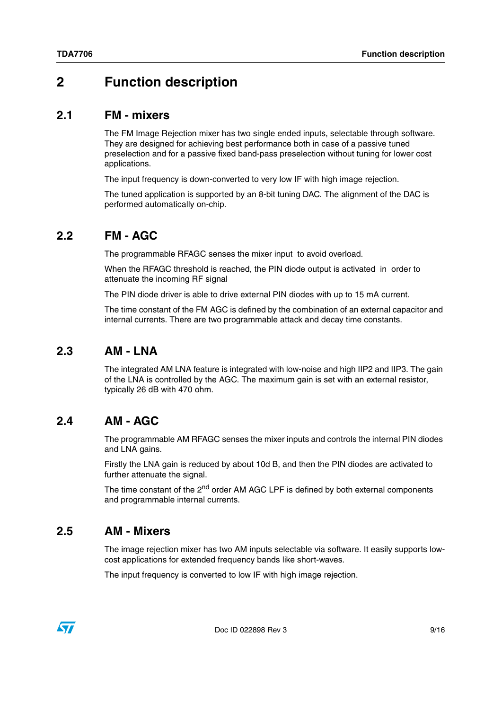# <span id="page-8-0"></span>**2 Function description**

#### <span id="page-8-1"></span>**2.1 FM - mixers**

The FM Image Rejection mixer has two single ended inputs, selectable through software. They are designed for achieving best performance both in case of a passive tuned preselection and for a passive fixed band-pass preselection without tuning for lower cost applications.

The input frequency is down-converted to very low IF with high image rejection.

The tuned application is supported by an 8-bit tuning DAC. The alignment of the DAC is performed automatically on-chip.

## <span id="page-8-2"></span>**2.2 FM - AGC**

The programmable RFAGC senses the mixer input to avoid overload.

When the RFAGC threshold is reached, the PIN diode output is activated in order to attenuate the incoming RF signal

The PIN diode driver is able to drive external PIN diodes with up to 15 mA current.

The time constant of the FM AGC is defined by the combination of an external capacitor and internal currents. There are two programmable attack and decay time constants.

### <span id="page-8-3"></span>**2.3 AM - LNA**

The integrated AM LNA feature is integrated with low-noise and high IIP2 and IIP3. The gain of the LNA is controlled by the AGC. The maximum gain is set with an external resistor, typically 26 dB with 470 ohm.

## <span id="page-8-4"></span>**2.4 AM - AGC**

The programmable AM RFAGC senses the mixer inputs and controls the internal PIN diodes and LNA gains.

Firstly the LNA gain is reduced by about 10d B, and then the PIN diodes are activated to further attenuate the signal.

The time constant of the 2<sup>nd</sup> order AM AGC LPF is defined by both external components and programmable internal currents.

### <span id="page-8-5"></span>**2.5 AM - Mixers**

The image rejection mixer has two AM inputs selectable via software. It easily supports lowcost applications for extended frequency bands like short-waves.

The input frequency is converted to low IF with high image rejection.

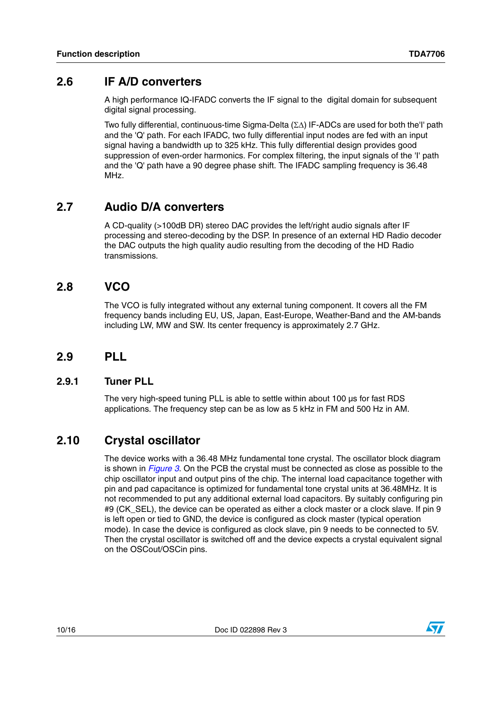### <span id="page-9-0"></span>**2.6 IF A/D converters**

A high performance IQ-IFADC converts the IF signal to the digital domain for subsequent digital signal processing.

Two fully differential, continuous-time Sigma-Delta  $(\Sigma \Delta)$  IF-ADCs are used for both the'l' path and the 'Q' path. For each IFADC, two fully differential input nodes are fed with an input signal having a bandwidth up to 325 kHz. This fully differential design provides good suppression of even-order harmonics. For complex filtering, the input signals of the 'I' path and the 'Q' path have a 90 degree phase shift. The IFADC sampling frequency is 36.48 MHz.

# <span id="page-9-1"></span>**2.7 Audio D/A converters**

A CD-quality (>100dB DR) stereo DAC provides the left/right audio signals after IF processing and stereo-decoding by the DSP. In presence of an external HD Radio decoder the DAC outputs the high quality audio resulting from the decoding of the HD Radio transmissions.

## <span id="page-9-2"></span>**2.8 VCO**

The VCO is fully integrated without any external tuning component. It covers all the FM frequency bands including EU, US, Japan, East-Europe, Weather-Band and the AM-bands including LW, MW and SW. Its center frequency is approximately 2.7 GHz.

## <span id="page-9-3"></span>**2.9 PLL**

#### <span id="page-9-4"></span>**2.9.1 Tuner PLL**

The very high-speed tuning PLL is able to settle within about 100 us for fast RDS applications. The frequency step can be as low as 5 kHz in FM and 500 Hz in AM.

## <span id="page-9-5"></span>**2.10 Crystal oscillator**

The device works with a 36.48 MHz fundamental tone crystal. The oscillator block diagram is shown in *[Figure 3](#page-10-1)*. On the PCB the crystal must be connected as close as possible to the chip oscillator input and output pins of the chip. The internal load capacitance together with pin and pad capacitance is optimized for fundamental tone crystal units at 36.48MHz. It is not recommended to put any additional external load capacitors. By suitably configuring pin #9 (CK\_SEL), the device can be operated as either a clock master or a clock slave. If pin 9 is left open or tied to GND, the device is configured as clock master (typical operation mode). In case the device is configured as clock slave, pin 9 needs to be connected to 5V. Then the crystal oscillator is switched off and the device expects a crystal equivalent signal on the OSCout/OSCin pins.

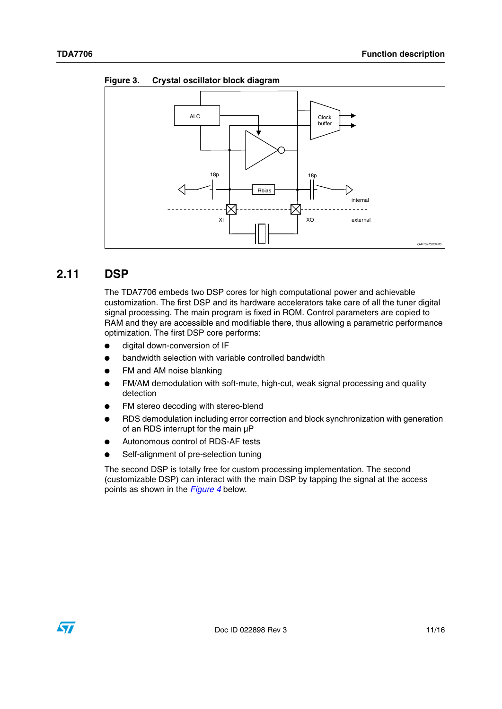<span id="page-10-1"></span>**Figure 3. Crystal oscillator block diagram**



### <span id="page-10-0"></span>**2.11 DSP**

The TDA7706 embeds two DSP cores for high computational power and achievable customization. The first DSP and its hardware accelerators take care of all the tuner digital signal processing. The main program is fixed in ROM. Control parameters are copied to RAM and they are accessible and modifiable there, thus allowing a parametric performance optimization. The first DSP core performs:

- digital down-conversion of IF
- bandwidth selection with variable controlled bandwidth
- FM and AM noise blanking
- FM/AM demodulation with soft-mute, high-cut, weak signal processing and quality detection
- FM stereo decoding with stereo-blend
- RDS demodulation including error correction and block synchronization with generation of an RDS interrupt for the main µP
- Autonomous control of RDS-AF tests
- Self-alignment of pre-selection tuning

The second DSP is totally free for custom processing implementation. The second (customizable DSP) can interact with the main DSP by tapping the signal at the access points as shown in the *[Figure 4](#page-11-1)* below.

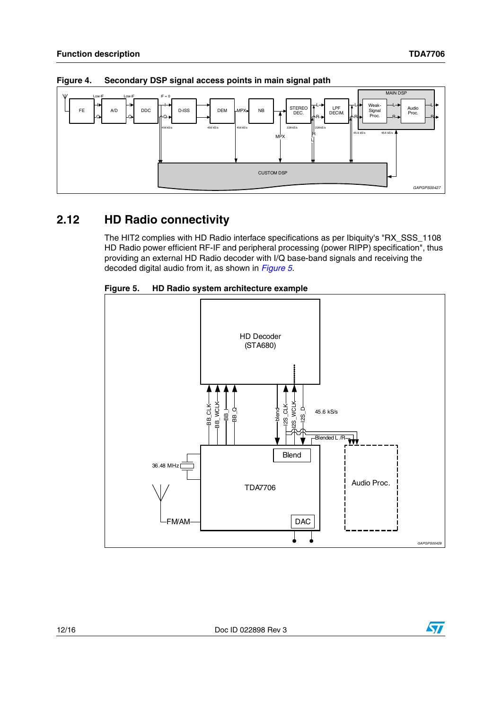

<span id="page-11-1"></span>Secondary DSP signal access points in main signal path Figure 4.

#### <span id="page-11-0"></span>**HD Radio connectivity**  $2.12$

The HIT2 complies with HD Radio interface specifications as per Ibiquity's "RX SSS 1108 HD Radio power efficient RF-IF and peripheral processing (power RIPP) specification", thus providing an external HD Radio decoder with I/Q base-band signals and receiving the decoded digital audio from it, as shown in Figure 5.

<span id="page-11-2"></span>



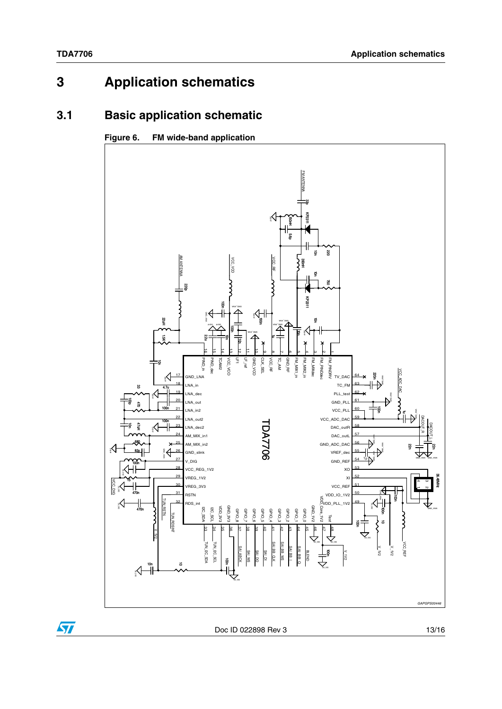$\sqrt{2}$ 

#### <span id="page-12-0"></span>**Application schematics**  $\overline{\mathbf{3}}$

#### <span id="page-12-1"></span>**Basic application schematic**  $3.1$

#### Figure 6. FM wide-band application



Doc ID 022898 Rev 3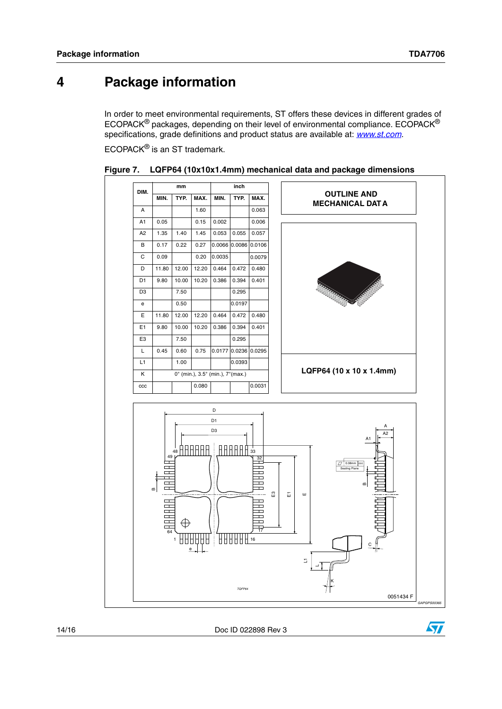#### <span id="page-13-0"></span>**Package information**  $\overline{\mathbf{4}}$

In order to meet environmental requirements, ST offers these devices in different grades of ECOPACK<sup>®</sup> packages, depending on their level of environmental compliance. ECOPACK<sup>®</sup> specifications, grade definitions and product status are available at: www.st.com.

ECOPACK® is an ST trademark.



Figure 7. LQFP64 (10x10x1.4mm) mechanical data and package dimensions

Doc ID 022898 Rev 3

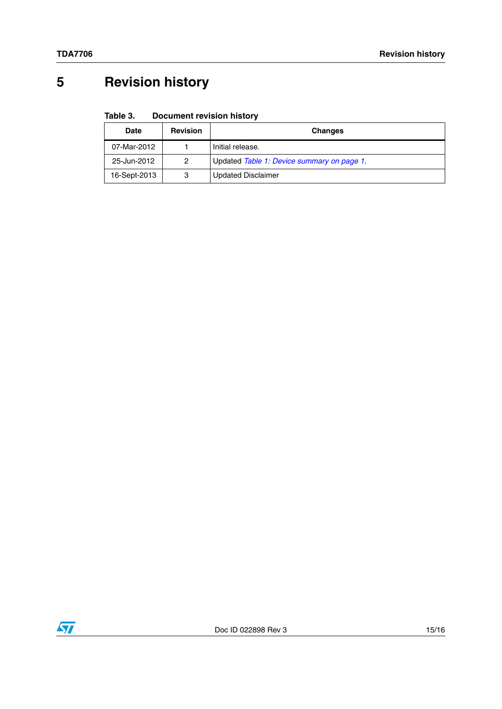# <span id="page-14-0"></span>**5 Revision history**

#### Table 3. **Document revision history**

| Date         | <b>Revision</b> | <b>Changes</b>                             |
|--------------|-----------------|--------------------------------------------|
| 07-Mar-2012  |                 | Initial release.                           |
| 25-Jun-2012  | 2               | Updated Table 1: Device summary on page 1. |
| 16-Sept-2013 | З               | <b>Updated Disclaimer</b>                  |